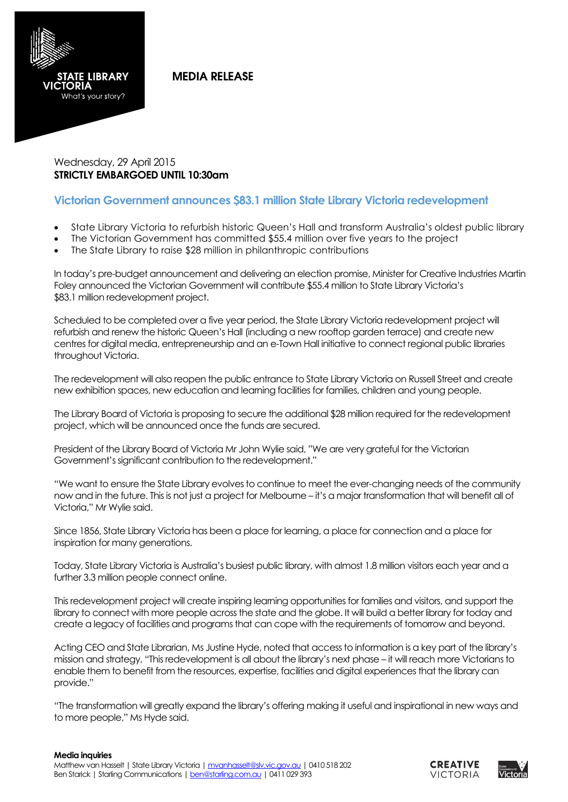

**MEDIA RELEASE** 

Wednesday, 29 April 2015 **STRICTLY EMBARGOED UNTIL 10:30am**

## **Victorian Government announces \$83.1 million State Library Victoria redevelopment**

- State Library Victoria to refurbish historic Queen's Hall and transform Australia's oldest public library
- The Victorian Government has committed \$55.4 million over five years to the project
- The State Library to raise \$28 million in philanthropic contributions

In today's pre-budget announcement and delivering an election promise, Minister for Creative Industries Martin Foley announced the Victorian Government will contribute \$55.4 million to State Library Victoria's \$83.1 million redevelopment project.

Scheduled to be completed over a five year period, the State Library Victoria redevelopment project will refurbish and renew the historic Queen's Hall (including a new rooftop garden terrace) and create new centres for digital media, entrepreneurship and an e-Town Hall initiative to connect regional public libraries throughout Victoria.

The redevelopment will also reopen the public entrance to State Library Victoria on Russell Street and create new exhibition spaces, new education and learning facilities for families, children and young people.

The Library Board of Victoria is proposing to secure the additional \$28 million required for the redevelopment project, which will be announced once the funds are secured.

President of the Library Board of Victoria Mr John Wylie said, "We are very grateful for the Victorian Government's significant contribution to the redevelopment."

"We want to ensure the State Library evolves to continue to meet the ever-changing needs of the community now and in the future. This is not just a project for Melbourne – it's a major transformation that will benefit all of Victoria," Mr Wylie said.

Since 1856, State Library Victoria has been a place for learning, a place for connection and a place for inspiration for many generations.

Today, State Library Victoria is Australia's busiest public library, with almost 1.8 million visitors each year and a further 3.3 million people connect online.

This redevelopment project will create inspiring learning opportunities for families and visitors, and support the library to connect with more people across the state and the globe. It will build a better library for today and create a legacy of facilities and programs that can cope with the requirements of tomorrow and beyond.

Acting CEO and State Librarian, Ms Justine Hyde, noted that access to information is a key part of the library's mission and strategy, "This redevelopment is all about the library's next phase – it will reach more Victorians to enable them to benefit from the resources, expertise, facilities and digital experiences that the library can provide."

"The transformation will greatly expand the library's offering making it useful and inspirational in new ways and to more people," Ms Hyde said.